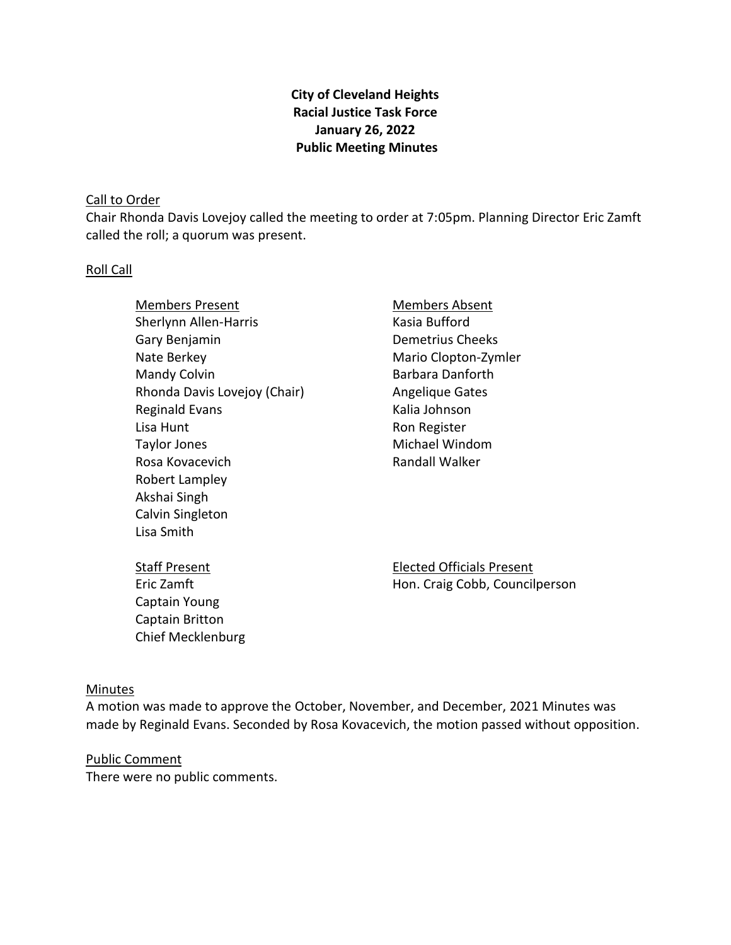# **City of Cleveland Heights Racial Justice Task Force January 26, 2022 Public Meeting Minutes**

#### Call to Order

Chair Rhonda Davis Lovejoy called the meeting to order at 7:05pm. Planning Director Eric Zamft called the roll; a quorum was present.

#### Roll Call

- Members Present Sherlynn Allen-Harris Gary Benjamin Nate Berkey Mandy Colvin Rhonda Davis Lovejoy (Chair) Reginald Evans Lisa Hunt Taylor Jones Rosa Kovacevich Robert Lampley Akshai Singh Calvin Singleton Lisa Smith
- Members Absent Kasia Bufford Demetrius Cheeks Mario Clopton-Zymler Barbara Danforth Angelique Gates Kalia Johnson Ron Register Michael Windom Randall Walker

Staff Present Eric Zamft Captain Young Captain Britton Chief Mecklenburg Elected Officials Present Hon. Craig Cobb, Councilperson

#### Minutes

A motion was made to approve the October, November, and December, 2021 Minutes was made by Reginald Evans. Seconded by Rosa Kovacevich, the motion passed without opposition.

Public Comment There were no public comments.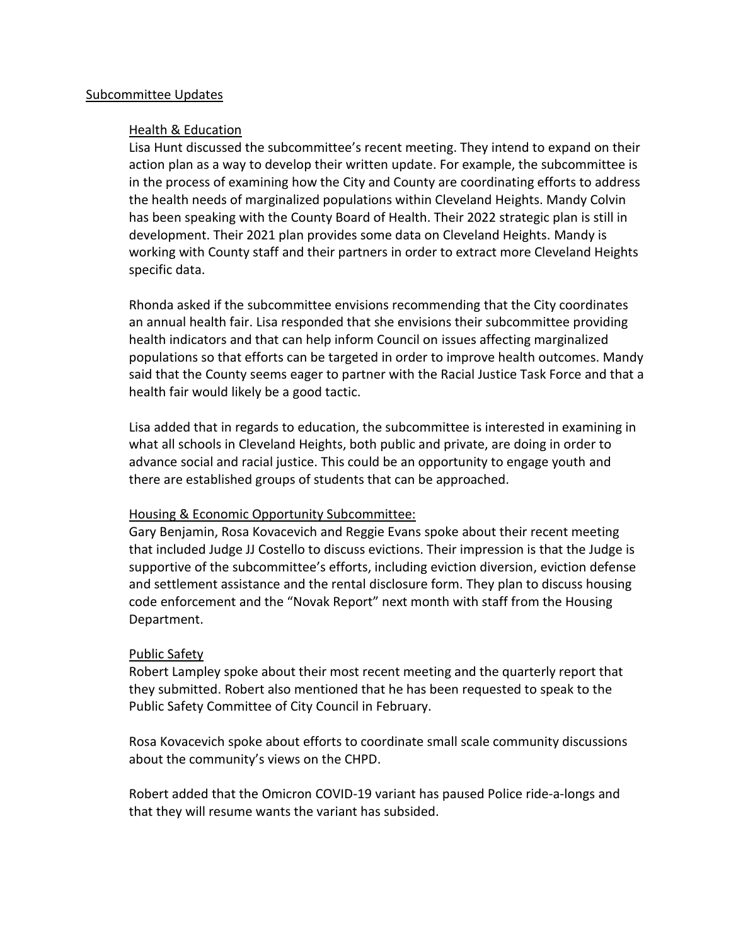#### Subcommittee Updates

#### Health & Education

Lisa Hunt discussed the subcommittee's recent meeting. They intend to expand on their action plan as a way to develop their written update. For example, the subcommittee is in the process of examining how the City and County are coordinating efforts to address the health needs of marginalized populations within Cleveland Heights. Mandy Colvin has been speaking with the County Board of Health. Their 2022 strategic plan is still in development. Their 2021 plan provides some data on Cleveland Heights. Mandy is working with County staff and their partners in order to extract more Cleveland Heights specific data.

Rhonda asked if the subcommittee envisions recommending that the City coordinates an annual health fair. Lisa responded that she envisions their subcommittee providing health indicators and that can help inform Council on issues affecting marginalized populations so that efforts can be targeted in order to improve health outcomes. Mandy said that the County seems eager to partner with the Racial Justice Task Force and that a health fair would likely be a good tactic.

Lisa added that in regards to education, the subcommittee is interested in examining in what all schools in Cleveland Heights, both public and private, are doing in order to advance social and racial justice. This could be an opportunity to engage youth and there are established groups of students that can be approached.

## Housing & Economic Opportunity Subcommittee:

Gary Benjamin, Rosa Kovacevich and Reggie Evans spoke about their recent meeting that included Judge JJ Costello to discuss evictions. Their impression is that the Judge is supportive of the subcommittee's efforts, including eviction diversion, eviction defense and settlement assistance and the rental disclosure form. They plan to discuss housing code enforcement and the "Novak Report" next month with staff from the Housing Department.

## Public Safety

Robert Lampley spoke about their most recent meeting and the quarterly report that they submitted. Robert also mentioned that he has been requested to speak to the Public Safety Committee of City Council in February.

Rosa Kovacevich spoke about efforts to coordinate small scale community discussions about the community's views on the CHPD.

Robert added that the Omicron COVID-19 variant has paused Police ride-a-longs and that they will resume wants the variant has subsided.